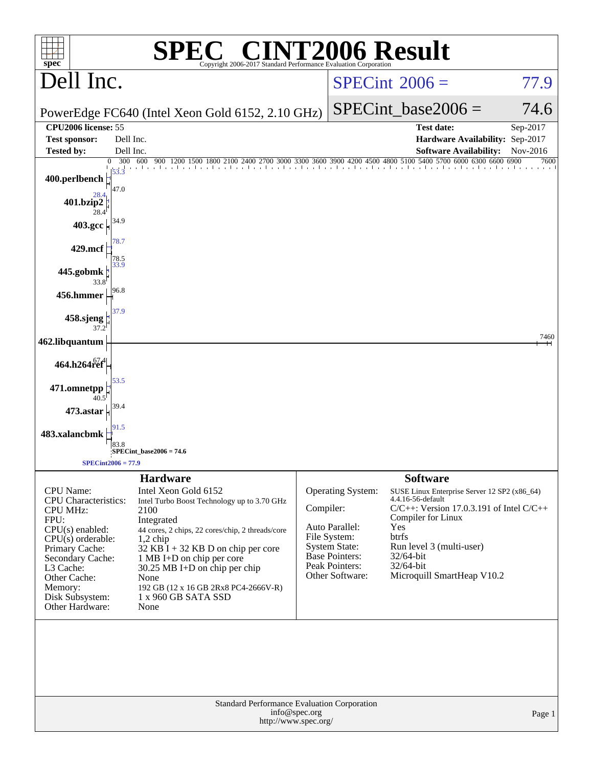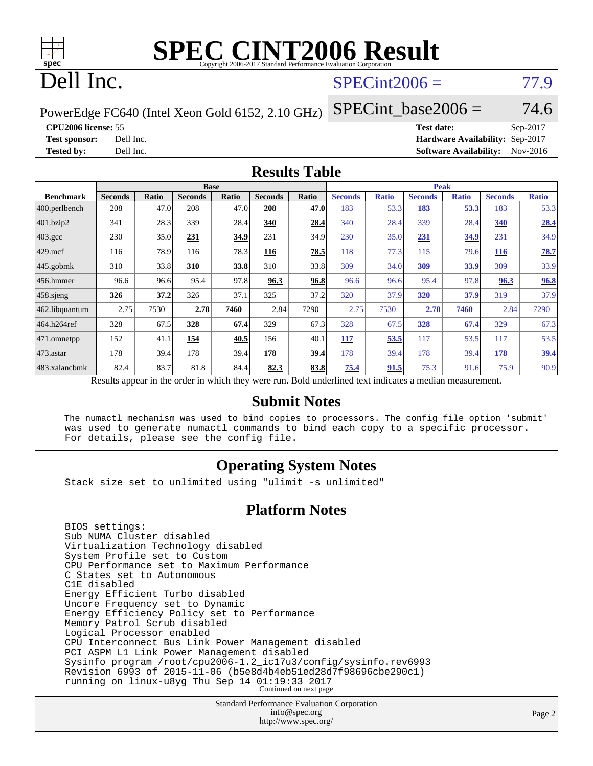

## Dell Inc.

### $SPECint2006 = 77.9$  $SPECint2006 = 77.9$

PowerEdge FC640 (Intel Xeon Gold 6152, 2.10 GHz)

 $SPECTnt\_base2006 = 74.6$ 

**[CPU2006 license:](http://www.spec.org/auto/cpu2006/Docs/result-fields.html#CPU2006license)** 55 **[Test date:](http://www.spec.org/auto/cpu2006/Docs/result-fields.html#Testdate)** Sep-2017

**[Test sponsor:](http://www.spec.org/auto/cpu2006/Docs/result-fields.html#Testsponsor)** Dell Inc. **[Hardware Availability:](http://www.spec.org/auto/cpu2006/Docs/result-fields.html#HardwareAvailability)** Sep-2017 **[Tested by:](http://www.spec.org/auto/cpu2006/Docs/result-fields.html#Testedby)** Dell Inc. **[Software Availability:](http://www.spec.org/auto/cpu2006/Docs/result-fields.html#SoftwareAvailability)** Nov-2016

### **[Results Table](http://www.spec.org/auto/cpu2006/Docs/result-fields.html#ResultsTable)**

|                                                                                                          |                |       | <b>Base</b>    |       |                |       | <b>Peak</b>    |              |                |              |                |              |  |  |
|----------------------------------------------------------------------------------------------------------|----------------|-------|----------------|-------|----------------|-------|----------------|--------------|----------------|--------------|----------------|--------------|--|--|
| <b>Benchmark</b>                                                                                         | <b>Seconds</b> | Ratio | <b>Seconds</b> | Ratio | <b>Seconds</b> | Ratio | <b>Seconds</b> | <b>Ratio</b> | <b>Seconds</b> | <b>Ratio</b> | <b>Seconds</b> | <b>Ratio</b> |  |  |
| $ 400$ .perlbench                                                                                        | 208            | 47.0  | 208            | 47.0  | 208            | 47.0  | 183            | 53.3         | 183            | 53.3         | 183            | 53.3         |  |  |
| 401.bzip2                                                                                                | 341            | 28.3  | 339            | 28.4  | 340            | 28.4  | 340            | 28.4         | 339            | 28.4         | 340            | 28.4         |  |  |
| $403.\mathrm{gcc}$                                                                                       | 230            | 35.0  | 231            | 34.9  | 231            | 34.9  | 230            | 35.0         | 231            | 34.9         | 231            | 34.9         |  |  |
| $429$ mcf                                                                                                | 116            | 78.9  | 116            | 78.3  | 116            | 78.5  | 118            | 77.3         | 115            | 79.6         | <b>116</b>     | 78.7         |  |  |
| $445$ .gobmk                                                                                             | 310            | 33.8  | 310            | 33.8  | 310            | 33.8  | 309            | 34.0         | 309            | 33.9         | 309            | 33.9         |  |  |
| 456.hmmer                                                                                                | 96.6           | 96.6  | 95.4           | 97.8  | 96.3           | 96.8  | 96.6           | 96.6         | 95.4           | 97.8         | 96.3           | 96.8         |  |  |
| $458$ .sjeng                                                                                             | 326            | 37.2  | 326            | 37.1  | 325            | 37.2  | 320            | 37.9         | 320            | 37.9         | 319            | 37.9         |  |  |
| 462.libquantum                                                                                           | 2.75           | 7530  | 2.78           | 7460  | 2.84           | 7290  | 2.75           | 7530         | 2.78           | 7460         | 2.84           | 7290         |  |  |
| 464.h264ref                                                                                              | 328            | 67.5  | 328            | 67.4  | 329            | 67.3  | 328            | 67.5         | 328            | 67.4         | 329            | 67.3         |  |  |
| $ 471$ .omnetpp                                                                                          | 152            | 41.1  | 154            | 40.5  | 156            | 40.1  | 117            | 53.5         | 117            | 53.5         | 117            | 53.5         |  |  |
| $ 473$ . astar                                                                                           | 178            | 39.4  | 178            | 39.4  | 178            | 39.4  | 178            | 39.4         | 178            | 39.4         | 178            | 39.4         |  |  |
| 483.xalancbmk                                                                                            | 82.4           | 83.7  | 81.8           | 84.4  | 82.3           | 83.8  | 75.4           | 91.5         | 75.3           | 91.6         | 75.9           | 90.9         |  |  |
| Results appear in the order in which they were run. Bold underlined text indicates a median measurement. |                |       |                |       |                |       |                |              |                |              |                |              |  |  |

### **[Submit Notes](http://www.spec.org/auto/cpu2006/Docs/result-fields.html#SubmitNotes)**

 The numactl mechanism was used to bind copies to processors. The config file option 'submit' was used to generate numactl commands to bind each copy to a specific processor. For details, please see the config file.

### **[Operating System Notes](http://www.spec.org/auto/cpu2006/Docs/result-fields.html#OperatingSystemNotes)**

Stack size set to unlimited using "ulimit -s unlimited"

### **[Platform Notes](http://www.spec.org/auto/cpu2006/Docs/result-fields.html#PlatformNotes)**

 BIOS settings: Sub NUMA Cluster disabled Virtualization Technology disabled System Profile set to Custom CPU Performance set to Maximum Performance C States set to Autonomous C1E disabled Energy Efficient Turbo disabled Uncore Frequency set to Dynamic Energy Efficiency Policy set to Performance Memory Patrol Scrub disabled Logical Processor enabled CPU Interconnect Bus Link Power Management disabled PCI ASPM L1 Link Power Management disabled Sysinfo program /root/cpu2006-1.2\_ic17u3/config/sysinfo.rev6993 Revision 6993 of 2015-11-06 (b5e8d4b4eb51ed28d7f98696cbe290c1) running on linux-u8yg Thu Sep 14 01:19:33 2017 Continued on next page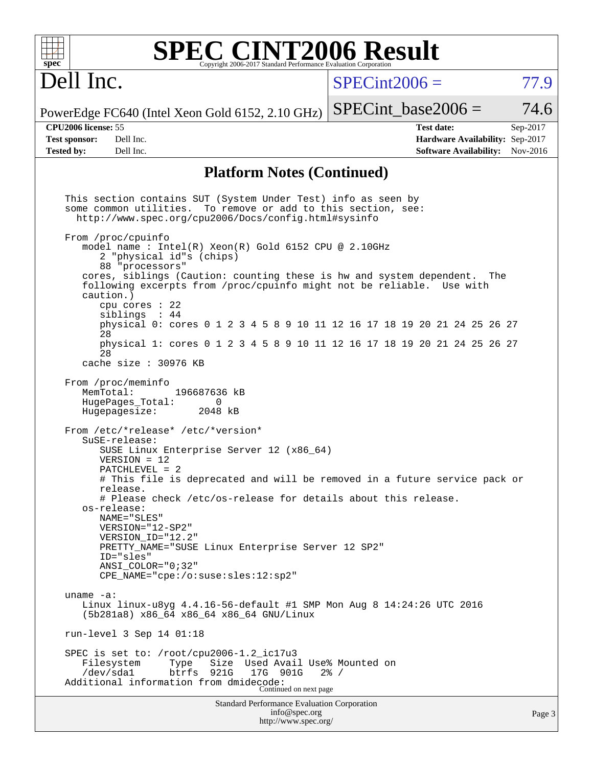| $spec^*$                                           |                           |                                                                                                                                                                                                                                                                                                                                                                                                                                                                                                                           |                    |              |  | <b>SPEC CINT2006 Result</b><br>Copyright 2006-2017 Standard Performance Evaluation Corporation |                  |                       |  |                                                    |  |     |                                 |                      |
|----------------------------------------------------|---------------------------|---------------------------------------------------------------------------------------------------------------------------------------------------------------------------------------------------------------------------------------------------------------------------------------------------------------------------------------------------------------------------------------------------------------------------------------------------------------------------------------------------------------------------|--------------------|--------------|--|------------------------------------------------------------------------------------------------|------------------|-----------------------|--|----------------------------------------------------|--|-----|---------------------------------|----------------------|
| Dell Inc.                                          |                           |                                                                                                                                                                                                                                                                                                                                                                                                                                                                                                                           |                    |              |  |                                                                                                |                  | $SPECint2006 =$       |  |                                                    |  |     |                                 | 77.9                 |
| PowerEdge FC640 (Intel Xeon Gold 6152, 2.10 GHz)   |                           |                                                                                                                                                                                                                                                                                                                                                                                                                                                                                                                           |                    |              |  |                                                                                                |                  | $SPECint\_base2006 =$ |  |                                                    |  |     |                                 | 74.6                 |
| <b>CPU2006</b> license: 55<br><b>Test sponsor:</b> |                           | Dell Inc.<br>Dell Inc.                                                                                                                                                                                                                                                                                                                                                                                                                                                                                                    |                    |              |  |                                                                                                |                  |                       |  | <b>Test date:</b><br><b>Software Availability:</b> |  |     | Hardware Availability: Sep-2017 | Sep-2017<br>Nov-2016 |
| <b>Tested by:</b>                                  |                           |                                                                                                                                                                                                                                                                                                                                                                                                                                                                                                                           |                    |              |  |                                                                                                |                  |                       |  |                                                    |  |     |                                 |                      |
|                                                    |                           |                                                                                                                                                                                                                                                                                                                                                                                                                                                                                                                           |                    |              |  | <b>Platform Notes (Continued)</b>                                                              |                  |                       |  |                                                    |  |     |                                 |                      |
|                                                    |                           | This section contains SUT (System Under Test) info as seen by<br>some common utilities. To remove or add to this section, see:<br>http://www.spec.org/cpu2006/Docs/config.html#sysinfo<br>From /proc/cpuinfo<br>model name: Intel(R) Xeon(R) Gold 6152 CPU @ 2.10GHz<br>2 "physical id"s (chips)<br>88 "processors"                                                                                                                                                                                                       |                    |              |  |                                                                                                |                  |                       |  |                                                    |  |     |                                 |                      |
|                                                    | caution.)                 | cores, siblings (Caution: counting these is hw and system dependent.<br>following excerpts from /proc/cpuinfo might not be reliable. Use with<br>cpu cores $: 22$<br>siblings : 44<br>physical 0: cores 0 1 2 3 4 5 8 9 10 11 12 16 17 18 19 20 21 24 25 26 27                                                                                                                                                                                                                                                            |                    |              |  |                                                                                                |                  |                       |  |                                                    |  | The |                                 |                      |
|                                                    | 28<br>28                  | physical 1: cores 0 1 2 3 4 5 8 9 10 11 12 16 17 18 19 20 21 24 25 26 27                                                                                                                                                                                                                                                                                                                                                                                                                                                  |                    |              |  |                                                                                                |                  |                       |  |                                                    |  |     |                                 |                      |
|                                                    |                           | cache size $: 30976$ KB                                                                                                                                                                                                                                                                                                                                                                                                                                                                                                   |                    |              |  |                                                                                                |                  |                       |  |                                                    |  |     |                                 |                      |
|                                                    | MemTotal:                 | From /proc/meminfo<br>HugePages_Total:<br>Hugepagesize:<br>From /etc/*release* /etc/*version*<br>SuSE-release:<br>SUSE Linux Enterprise Server 12 (x86_64)<br>$VERSION = 12$<br>PATCHLEVEL = $2$<br># This file is deprecated and will be removed in a future service pack or<br>release.<br># Please check /etc/os-release for details about this release.<br>os-release:<br>NAME="SLES"<br>VERSION="12-SP2"<br>VERSION_ID="12.2"<br>PRETTY_NAME="SUSE Linux Enterprise Server 12 SP2"<br>ID="sles"<br>ANSI COLOR="0;32" | 196687636 kB       | 0<br>2048 kB |  |                                                                                                |                  |                       |  |                                                    |  |     |                                 |                      |
|                                                    | uname $-a$ :<br>/dev/sda1 | CPE_NAME="cpe:/o:suse:sles:12:sp2"<br>Linux linux-u8yg 4.4.16-56-default #1 SMP Mon Aug 8 14:24:26 UTC 2016<br>(5b281a8) x86_64 x86_64 x86_64 GNU/Linux<br>run-level 3 Sep 14 01:18<br>SPEC is set to: /root/cpu2006-1.2_ic17u3<br>Filesystem<br>Additional information from dmidecode:                                                                                                                                                                                                                                   | Type<br>btrfs 921G |              |  | Size Used Avail Use% Mounted on<br>17G 901G<br>Continued on next page                          | $2\frac{3}{6}$ / |                       |  |                                                    |  |     |                                 |                      |
|                                                    |                           |                                                                                                                                                                                                                                                                                                                                                                                                                                                                                                                           |                    |              |  | Standard Performance Evaluation Corporation<br>info@spec.org<br>http://www.spec.org/           |                  |                       |  |                                                    |  |     |                                 | Page 3               |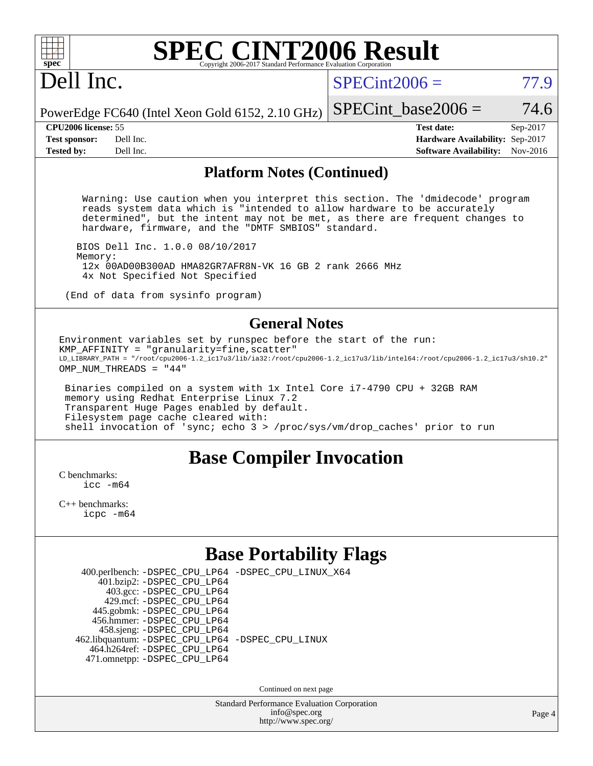# Dell Inc.

 $SPECint2006 = 77.9$  $SPECint2006 = 77.9$ 

PowerEdge FC640 (Intel Xeon Gold 6152, 2.10 GHz) SPECint base2006 =  $74.6$ 

**[CPU2006 license:](http://www.spec.org/auto/cpu2006/Docs/result-fields.html#CPU2006license)** 55 **[Test date:](http://www.spec.org/auto/cpu2006/Docs/result-fields.html#Testdate)** Sep-2017 **[Test sponsor:](http://www.spec.org/auto/cpu2006/Docs/result-fields.html#Testsponsor)** Dell Inc. **[Hardware Availability:](http://www.spec.org/auto/cpu2006/Docs/result-fields.html#HardwareAvailability)** Sep-2017 **[Tested by:](http://www.spec.org/auto/cpu2006/Docs/result-fields.html#Testedby)** Dell Inc. **[Software Availability:](http://www.spec.org/auto/cpu2006/Docs/result-fields.html#SoftwareAvailability)** Nov-2016

### **[Platform Notes \(Continued\)](http://www.spec.org/auto/cpu2006/Docs/result-fields.html#PlatformNotes)**

 Warning: Use caution when you interpret this section. The 'dmidecode' program reads system data which is "intended to allow hardware to be accurately determined", but the intent may not be met, as there are frequent changes to hardware, firmware, and the "DMTF SMBIOS" standard.

 BIOS Dell Inc. 1.0.0 08/10/2017 Memory: 12x 00AD00B300AD HMA82GR7AFR8N-VK 16 GB 2 rank 2666 MHz 4x Not Specified Not Specified

(End of data from sysinfo program)

### **[General Notes](http://www.spec.org/auto/cpu2006/Docs/result-fields.html#GeneralNotes)**

Environment variables set by runspec before the start of the run:  $KMP$  AFFINITY = "granularity=fine, scatter" LD\_LIBRARY\_PATH = "/root/cpu2006-1.2\_ic17u3/lib/ia32:/root/cpu2006-1.2\_ic17u3/lib/intel64:/root/cpu2006-1.2\_ic17u3/sh10.2" OMP NUM THREADS = "44"

 Binaries compiled on a system with 1x Intel Core i7-4790 CPU + 32GB RAM memory using Redhat Enterprise Linux 7.2 Transparent Huge Pages enabled by default. Filesystem page cache cleared with: shell invocation of 'sync; echo 3 > /proc/sys/vm/drop\_caches' prior to run

### **[Base Compiler Invocation](http://www.spec.org/auto/cpu2006/Docs/result-fields.html#BaseCompilerInvocation)**

[C benchmarks](http://www.spec.org/auto/cpu2006/Docs/result-fields.html#Cbenchmarks): icc  $-m64$ 

[C++ benchmarks:](http://www.spec.org/auto/cpu2006/Docs/result-fields.html#CXXbenchmarks) [icpc -m64](http://www.spec.org/cpu2006/results/res2017q4/cpu2006-20170918-49860.flags.html#user_CXXbase_intel_icpc_64bit_fc66a5337ce925472a5c54ad6a0de310)

### **[Base Portability Flags](http://www.spec.org/auto/cpu2006/Docs/result-fields.html#BasePortabilityFlags)**

| 400.perlbench: -DSPEC_CPU_LP64 -DSPEC_CPU_LINUX_X64 |  |
|-----------------------------------------------------|--|
| 401.bzip2: -DSPEC_CPU_LP64                          |  |
| 403.gcc: -DSPEC_CPU_LP64                            |  |
| 429.mcf: - DSPEC_CPU_LP64                           |  |
| 445.gobmk: -DSPEC_CPU_LP64                          |  |
| 456.hmmer: - DSPEC CPU LP64                         |  |
| 458.sjeng: -DSPEC_CPU_LP64                          |  |
| 462.libquantum: - DSPEC_CPU_LP64 - DSPEC_CPU_LINUX  |  |
| 464.h264ref: -DSPEC_CPU_LP64                        |  |
| 471.omnetpp: -DSPEC_CPU_LP64                        |  |

Continued on next page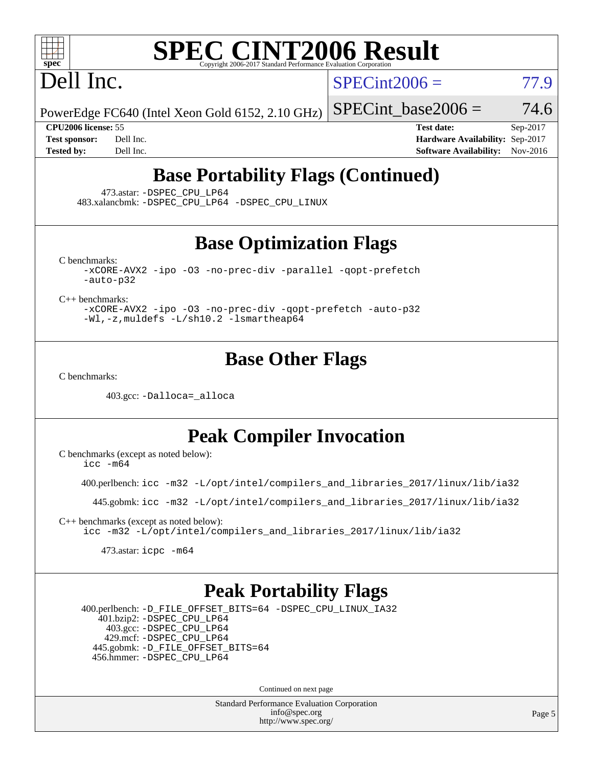# Dell Inc.

 $SPECint2006 = 77.9$  $SPECint2006 = 77.9$ 

PowerEdge FC640 (Intel Xeon Gold 6152, 2.10 GHz)

SPECint base2006 =  $74.6$ 

**[CPU2006 license:](http://www.spec.org/auto/cpu2006/Docs/result-fields.html#CPU2006license)** 55 **[Test date:](http://www.spec.org/auto/cpu2006/Docs/result-fields.html#Testdate)** Sep-2017 **[Test sponsor:](http://www.spec.org/auto/cpu2006/Docs/result-fields.html#Testsponsor)** Dell Inc. **[Hardware Availability:](http://www.spec.org/auto/cpu2006/Docs/result-fields.html#HardwareAvailability)** Sep-2017 **[Tested by:](http://www.spec.org/auto/cpu2006/Docs/result-fields.html#Testedby)** Dell Inc. **[Software Availability:](http://www.spec.org/auto/cpu2006/Docs/result-fields.html#SoftwareAvailability)** Nov-2016

### **[Base Portability Flags \(Continued\)](http://www.spec.org/auto/cpu2006/Docs/result-fields.html#BasePortabilityFlags)**

473.astar: [-DSPEC\\_CPU\\_LP64](http://www.spec.org/cpu2006/results/res2017q4/cpu2006-20170918-49860.flags.html#suite_basePORTABILITY473_astar_DSPEC_CPU_LP64)

483.xalancbmk: [-DSPEC\\_CPU\\_LP64](http://www.spec.org/cpu2006/results/res2017q4/cpu2006-20170918-49860.flags.html#suite_basePORTABILITY483_xalancbmk_DSPEC_CPU_LP64) [-DSPEC\\_CPU\\_LINUX](http://www.spec.org/cpu2006/results/res2017q4/cpu2006-20170918-49860.flags.html#b483.xalancbmk_baseCXXPORTABILITY_DSPEC_CPU_LINUX)

### **[Base Optimization Flags](http://www.spec.org/auto/cpu2006/Docs/result-fields.html#BaseOptimizationFlags)**

[C benchmarks](http://www.spec.org/auto/cpu2006/Docs/result-fields.html#Cbenchmarks):

[-xCORE-AVX2](http://www.spec.org/cpu2006/results/res2017q4/cpu2006-20170918-49860.flags.html#user_CCbase_f-xCORE-AVX2) [-ipo](http://www.spec.org/cpu2006/results/res2017q4/cpu2006-20170918-49860.flags.html#user_CCbase_f-ipo) [-O3](http://www.spec.org/cpu2006/results/res2017q4/cpu2006-20170918-49860.flags.html#user_CCbase_f-O3) [-no-prec-div](http://www.spec.org/cpu2006/results/res2017q4/cpu2006-20170918-49860.flags.html#user_CCbase_f-no-prec-div) [-parallel](http://www.spec.org/cpu2006/results/res2017q4/cpu2006-20170918-49860.flags.html#user_CCbase_f-parallel) [-qopt-prefetch](http://www.spec.org/cpu2006/results/res2017q4/cpu2006-20170918-49860.flags.html#user_CCbase_f-qopt-prefetch) [-auto-p32](http://www.spec.org/cpu2006/results/res2017q4/cpu2006-20170918-49860.flags.html#user_CCbase_f-auto-p32)

[C++ benchmarks:](http://www.spec.org/auto/cpu2006/Docs/result-fields.html#CXXbenchmarks)

[-xCORE-AVX2](http://www.spec.org/cpu2006/results/res2017q4/cpu2006-20170918-49860.flags.html#user_CXXbase_f-xCORE-AVX2) [-ipo](http://www.spec.org/cpu2006/results/res2017q4/cpu2006-20170918-49860.flags.html#user_CXXbase_f-ipo) [-O3](http://www.spec.org/cpu2006/results/res2017q4/cpu2006-20170918-49860.flags.html#user_CXXbase_f-O3) [-no-prec-div](http://www.spec.org/cpu2006/results/res2017q4/cpu2006-20170918-49860.flags.html#user_CXXbase_f-no-prec-div) [-qopt-prefetch](http://www.spec.org/cpu2006/results/res2017q4/cpu2006-20170918-49860.flags.html#user_CXXbase_f-qopt-prefetch) [-auto-p32](http://www.spec.org/cpu2006/results/res2017q4/cpu2006-20170918-49860.flags.html#user_CXXbase_f-auto-p32) [-Wl,-z,muldefs](http://www.spec.org/cpu2006/results/res2017q4/cpu2006-20170918-49860.flags.html#user_CXXbase_link_force_multiple1_74079c344b956b9658436fd1b6dd3a8a) [-L/sh10.2 -lsmartheap64](http://www.spec.org/cpu2006/results/res2017q4/cpu2006-20170918-49860.flags.html#user_CXXbase_SmartHeap64_63911d860fc08c15fa1d5bf319b9d8d5)

### **[Base Other Flags](http://www.spec.org/auto/cpu2006/Docs/result-fields.html#BaseOtherFlags)**

[C benchmarks](http://www.spec.org/auto/cpu2006/Docs/result-fields.html#Cbenchmarks):

403.gcc: [-Dalloca=\\_alloca](http://www.spec.org/cpu2006/results/res2017q4/cpu2006-20170918-49860.flags.html#b403.gcc_baseEXTRA_CFLAGS_Dalloca_be3056838c12de2578596ca5467af7f3)

### **[Peak Compiler Invocation](http://www.spec.org/auto/cpu2006/Docs/result-fields.html#PeakCompilerInvocation)**

[C benchmarks \(except as noted below\)](http://www.spec.org/auto/cpu2006/Docs/result-fields.html#Cbenchmarksexceptasnotedbelow):

[icc -m64](http://www.spec.org/cpu2006/results/res2017q4/cpu2006-20170918-49860.flags.html#user_CCpeak_intel_icc_64bit_bda6cc9af1fdbb0edc3795bac97ada53)

400.perlbench: [icc -m32 -L/opt/intel/compilers\\_and\\_libraries\\_2017/linux/lib/ia32](http://www.spec.org/cpu2006/results/res2017q4/cpu2006-20170918-49860.flags.html#user_peakCCLD400_perlbench_intel_icc_c29f3ff5a7ed067b11e4ec10a03f03ae)

445.gobmk: [icc -m32 -L/opt/intel/compilers\\_and\\_libraries\\_2017/linux/lib/ia32](http://www.spec.org/cpu2006/results/res2017q4/cpu2006-20170918-49860.flags.html#user_peakCCLD445_gobmk_intel_icc_c29f3ff5a7ed067b11e4ec10a03f03ae)

[C++ benchmarks \(except as noted below\):](http://www.spec.org/auto/cpu2006/Docs/result-fields.html#CXXbenchmarksexceptasnotedbelow) [icc -m32 -L/opt/intel/compilers\\_and\\_libraries\\_2017/linux/lib/ia32](http://www.spec.org/cpu2006/results/res2017q4/cpu2006-20170918-49860.flags.html#user_CXXpeak_intel_icc_c29f3ff5a7ed067b11e4ec10a03f03ae)

473.astar: [icpc -m64](http://www.spec.org/cpu2006/results/res2017q4/cpu2006-20170918-49860.flags.html#user_peakCXXLD473_astar_intel_icpc_64bit_fc66a5337ce925472a5c54ad6a0de310)

### **[Peak Portability Flags](http://www.spec.org/auto/cpu2006/Docs/result-fields.html#PeakPortabilityFlags)**

 400.perlbench: [-D\\_FILE\\_OFFSET\\_BITS=64](http://www.spec.org/cpu2006/results/res2017q4/cpu2006-20170918-49860.flags.html#user_peakPORTABILITY400_perlbench_file_offset_bits_64_438cf9856305ebd76870a2c6dc2689ab) [-DSPEC\\_CPU\\_LINUX\\_IA32](http://www.spec.org/cpu2006/results/res2017q4/cpu2006-20170918-49860.flags.html#b400.perlbench_peakCPORTABILITY_DSPEC_CPU_LINUX_IA32) 401.bzip2: [-DSPEC\\_CPU\\_LP64](http://www.spec.org/cpu2006/results/res2017q4/cpu2006-20170918-49860.flags.html#suite_peakPORTABILITY401_bzip2_DSPEC_CPU_LP64) 403.gcc: [-DSPEC\\_CPU\\_LP64](http://www.spec.org/cpu2006/results/res2017q4/cpu2006-20170918-49860.flags.html#suite_peakPORTABILITY403_gcc_DSPEC_CPU_LP64) 429.mcf: [-DSPEC\\_CPU\\_LP64](http://www.spec.org/cpu2006/results/res2017q4/cpu2006-20170918-49860.flags.html#suite_peakPORTABILITY429_mcf_DSPEC_CPU_LP64) 445.gobmk: [-D\\_FILE\\_OFFSET\\_BITS=64](http://www.spec.org/cpu2006/results/res2017q4/cpu2006-20170918-49860.flags.html#user_peakPORTABILITY445_gobmk_file_offset_bits_64_438cf9856305ebd76870a2c6dc2689ab) 456.hmmer: [-DSPEC\\_CPU\\_LP64](http://www.spec.org/cpu2006/results/res2017q4/cpu2006-20170918-49860.flags.html#suite_peakPORTABILITY456_hmmer_DSPEC_CPU_LP64)

Continued on next page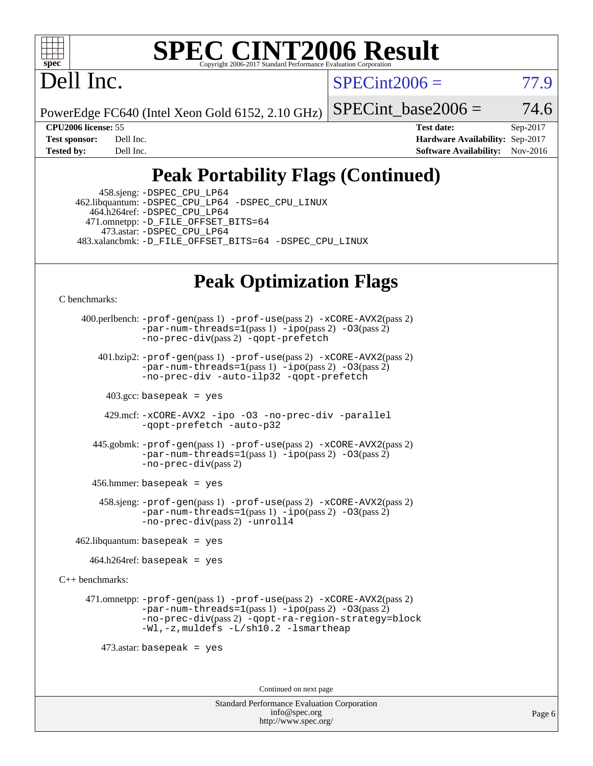

### **[SPEC CINT2006 Result](http://www.spec.org/auto/cpu2006/Docs/result-fields.html#SPECCINT2006Result)** Copyright 2006-2017 Standard Performance Evaluation C

# Dell Inc.

 $SPECint2006 = 77.9$  $SPECint2006 = 77.9$ 

PowerEdge FC640 (Intel Xeon Gold 6152, 2.10 GHz)

SPECint base2006 =  $74.6$ 

**[CPU2006 license:](http://www.spec.org/auto/cpu2006/Docs/result-fields.html#CPU2006license)** 55 **[Test date:](http://www.spec.org/auto/cpu2006/Docs/result-fields.html#Testdate)** Sep-2017 **[Test sponsor:](http://www.spec.org/auto/cpu2006/Docs/result-fields.html#Testsponsor)** Dell Inc. **[Hardware Availability:](http://www.spec.org/auto/cpu2006/Docs/result-fields.html#HardwareAvailability)** Sep-2017 **[Tested by:](http://www.spec.org/auto/cpu2006/Docs/result-fields.html#Testedby)** Dell Inc. **[Software Availability:](http://www.spec.org/auto/cpu2006/Docs/result-fields.html#SoftwareAvailability)** Nov-2016

### **[Peak Portability Flags \(Continued\)](http://www.spec.org/auto/cpu2006/Docs/result-fields.html#PeakPortabilityFlags)**

 458.sjeng: [-DSPEC\\_CPU\\_LP64](http://www.spec.org/cpu2006/results/res2017q4/cpu2006-20170918-49860.flags.html#suite_peakPORTABILITY458_sjeng_DSPEC_CPU_LP64) 462.libquantum: [-DSPEC\\_CPU\\_LP64](http://www.spec.org/cpu2006/results/res2017q4/cpu2006-20170918-49860.flags.html#suite_peakPORTABILITY462_libquantum_DSPEC_CPU_LP64) [-DSPEC\\_CPU\\_LINUX](http://www.spec.org/cpu2006/results/res2017q4/cpu2006-20170918-49860.flags.html#b462.libquantum_peakCPORTABILITY_DSPEC_CPU_LINUX) 464.h264ref: [-DSPEC\\_CPU\\_LP64](http://www.spec.org/cpu2006/results/res2017q4/cpu2006-20170918-49860.flags.html#suite_peakPORTABILITY464_h264ref_DSPEC_CPU_LP64) 471.omnetpp: [-D\\_FILE\\_OFFSET\\_BITS=64](http://www.spec.org/cpu2006/results/res2017q4/cpu2006-20170918-49860.flags.html#user_peakPORTABILITY471_omnetpp_file_offset_bits_64_438cf9856305ebd76870a2c6dc2689ab) 473.astar: [-DSPEC\\_CPU\\_LP64](http://www.spec.org/cpu2006/results/res2017q4/cpu2006-20170918-49860.flags.html#suite_peakPORTABILITY473_astar_DSPEC_CPU_LP64) 483.xalancbmk: [-D\\_FILE\\_OFFSET\\_BITS=64](http://www.spec.org/cpu2006/results/res2017q4/cpu2006-20170918-49860.flags.html#user_peakPORTABILITY483_xalancbmk_file_offset_bits_64_438cf9856305ebd76870a2c6dc2689ab) [-DSPEC\\_CPU\\_LINUX](http://www.spec.org/cpu2006/results/res2017q4/cpu2006-20170918-49860.flags.html#b483.xalancbmk_peakCXXPORTABILITY_DSPEC_CPU_LINUX)

## **[Peak Optimization Flags](http://www.spec.org/auto/cpu2006/Docs/result-fields.html#PeakOptimizationFlags)**

[C benchmarks](http://www.spec.org/auto/cpu2006/Docs/result-fields.html#Cbenchmarks):

 400.perlbench: [-prof-gen](http://www.spec.org/cpu2006/results/res2017q4/cpu2006-20170918-49860.flags.html#user_peakPASS1_CFLAGSPASS1_LDCFLAGS400_perlbench_prof_gen_e43856698f6ca7b7e442dfd80e94a8fc)(pass 1) [-prof-use](http://www.spec.org/cpu2006/results/res2017q4/cpu2006-20170918-49860.flags.html#user_peakPASS2_CFLAGSPASS2_LDCFLAGS400_perlbench_prof_use_bccf7792157ff70d64e32fe3e1250b55)(pass 2) [-xCORE-AVX2](http://www.spec.org/cpu2006/results/res2017q4/cpu2006-20170918-49860.flags.html#user_peakPASS2_CFLAGSPASS2_LDCFLAGS400_perlbench_f-xCORE-AVX2)(pass 2)  $-par-num-threads=1(pass 1) -ipo(pass 2) -O3(pass 2)$  $-par-num-threads=1(pass 1) -ipo(pass 2) -O3(pass 2)$  $-par-num-threads=1(pass 1) -ipo(pass 2) -O3(pass 2)$  $-par-num-threads=1(pass 1) -ipo(pass 2) -O3(pass 2)$  $-par-num-threads=1(pass 1) -ipo(pass 2) -O3(pass 2)$  $-par-num-threads=1(pass 1) -ipo(pass 2) -O3(pass 2)$ [-no-prec-div](http://www.spec.org/cpu2006/results/res2017q4/cpu2006-20170918-49860.flags.html#user_peakPASS2_CFLAGSPASS2_LDCFLAGS400_perlbench_f-no-prec-div)(pass 2) [-qopt-prefetch](http://www.spec.org/cpu2006/results/res2017q4/cpu2006-20170918-49860.flags.html#user_peakCOPTIMIZE400_perlbench_f-qopt-prefetch) 401.bzip2: [-prof-gen](http://www.spec.org/cpu2006/results/res2017q4/cpu2006-20170918-49860.flags.html#user_peakPASS1_CFLAGSPASS1_LDCFLAGS401_bzip2_prof_gen_e43856698f6ca7b7e442dfd80e94a8fc)(pass 1) [-prof-use](http://www.spec.org/cpu2006/results/res2017q4/cpu2006-20170918-49860.flags.html#user_peakPASS2_CFLAGSPASS2_LDCFLAGS401_bzip2_prof_use_bccf7792157ff70d64e32fe3e1250b55)(pass 2) [-xCORE-AVX2](http://www.spec.org/cpu2006/results/res2017q4/cpu2006-20170918-49860.flags.html#user_peakPASS2_CFLAGSPASS2_LDCFLAGS401_bzip2_f-xCORE-AVX2)(pass 2)  $-par-num-threads=1(pass 1) -ipo(pass 2) -O3(pass 2)$  $-par-num-threads=1(pass 1) -ipo(pass 2) -O3(pass 2)$  $-par-num-threads=1(pass 1) -ipo(pass 2) -O3(pass 2)$  $-par-num-threads=1(pass 1) -ipo(pass 2) -O3(pass 2)$  $-par-num-threads=1(pass 1) -ipo(pass 2) -O3(pass 2)$  $-par-num-threads=1(pass 1) -ipo(pass 2) -O3(pass 2)$ [-no-prec-div](http://www.spec.org/cpu2006/results/res2017q4/cpu2006-20170918-49860.flags.html#user_peakCOPTIMIZEPASS2_CFLAGSPASS2_LDCFLAGS401_bzip2_f-no-prec-div) [-auto-ilp32](http://www.spec.org/cpu2006/results/res2017q4/cpu2006-20170918-49860.flags.html#user_peakCOPTIMIZE401_bzip2_f-auto-ilp32) [-qopt-prefetch](http://www.spec.org/cpu2006/results/res2017q4/cpu2006-20170918-49860.flags.html#user_peakCOPTIMIZE401_bzip2_f-qopt-prefetch)  $403.\text{sec: basepeak}$  = yes 429.mcf: [-xCORE-AVX2](http://www.spec.org/cpu2006/results/res2017q4/cpu2006-20170918-49860.flags.html#user_peakOPTIMIZE429_mcf_f-xCORE-AVX2) [-ipo](http://www.spec.org/cpu2006/results/res2017q4/cpu2006-20170918-49860.flags.html#user_peakOPTIMIZE429_mcf_f-ipo) [-O3](http://www.spec.org/cpu2006/results/res2017q4/cpu2006-20170918-49860.flags.html#user_peakOPTIMIZE429_mcf_f-O3) [-no-prec-div](http://www.spec.org/cpu2006/results/res2017q4/cpu2006-20170918-49860.flags.html#user_peakOPTIMIZE429_mcf_f-no-prec-div) [-parallel](http://www.spec.org/cpu2006/results/res2017q4/cpu2006-20170918-49860.flags.html#user_peakCOPTIMIZE429_mcf_f-parallel) [-qopt-prefetch](http://www.spec.org/cpu2006/results/res2017q4/cpu2006-20170918-49860.flags.html#user_peakCOPTIMIZE429_mcf_f-qopt-prefetch) [-auto-p32](http://www.spec.org/cpu2006/results/res2017q4/cpu2006-20170918-49860.flags.html#user_peakCOPTIMIZE429_mcf_f-auto-p32) 445.gobmk: [-prof-gen](http://www.spec.org/cpu2006/results/res2017q4/cpu2006-20170918-49860.flags.html#user_peakPASS1_CFLAGSPASS1_LDCFLAGS445_gobmk_prof_gen_e43856698f6ca7b7e442dfd80e94a8fc)(pass 1) [-prof-use](http://www.spec.org/cpu2006/results/res2017q4/cpu2006-20170918-49860.flags.html#user_peakPASS2_CFLAGSPASS2_LDCFLAGS445_gobmk_prof_use_bccf7792157ff70d64e32fe3e1250b55)(pass 2) [-xCORE-AVX2](http://www.spec.org/cpu2006/results/res2017q4/cpu2006-20170918-49860.flags.html#user_peakPASS2_CFLAGSPASS2_LDCFLAGS445_gobmk_f-xCORE-AVX2)(pass 2)  $-par-num-threads=1(pass 1) -ipo(pass 2) -O3(pass 2)$  $-par-num-threads=1(pass 1) -ipo(pass 2) -O3(pass 2)$  $-par-num-threads=1(pass 1) -ipo(pass 2) -O3(pass 2)$  $-par-num-threads=1(pass 1) -ipo(pass 2) -O3(pass 2)$  $-par-num-threads=1(pass 1) -ipo(pass 2) -O3(pass 2)$  $-par-num-threads=1(pass 1) -ipo(pass 2) -O3(pass 2)$ [-no-prec-div](http://www.spec.org/cpu2006/results/res2017q4/cpu2006-20170918-49860.flags.html#user_peakPASS2_CFLAGSPASS2_LDCFLAGS445_gobmk_f-no-prec-div)(pass 2) 456.hmmer: basepeak = yes 458.sjeng: [-prof-gen](http://www.spec.org/cpu2006/results/res2017q4/cpu2006-20170918-49860.flags.html#user_peakPASS1_CFLAGSPASS1_LDCFLAGS458_sjeng_prof_gen_e43856698f6ca7b7e442dfd80e94a8fc)(pass 1) [-prof-use](http://www.spec.org/cpu2006/results/res2017q4/cpu2006-20170918-49860.flags.html#user_peakPASS2_CFLAGSPASS2_LDCFLAGS458_sjeng_prof_use_bccf7792157ff70d64e32fe3e1250b55)(pass 2) [-xCORE-AVX2](http://www.spec.org/cpu2006/results/res2017q4/cpu2006-20170918-49860.flags.html#user_peakPASS2_CFLAGSPASS2_LDCFLAGS458_sjeng_f-xCORE-AVX2)(pass 2)  $-par-num-threads=1(pass 1) -ipo(pass 2) -O3(pass 2)$  $-par-num-threads=1(pass 1) -ipo(pass 2) -O3(pass 2)$  $-par-num-threads=1(pass 1) -ipo(pass 2) -O3(pass 2)$  $-par-num-threads=1(pass 1) -ipo(pass 2) -O3(pass 2)$  $-par-num-threads=1(pass 1) -ipo(pass 2) -O3(pass 2)$  $-par-num-threads=1(pass 1) -ipo(pass 2) -O3(pass 2)$ [-no-prec-div](http://www.spec.org/cpu2006/results/res2017q4/cpu2006-20170918-49860.flags.html#user_peakPASS2_CFLAGSPASS2_LDCFLAGS458_sjeng_f-no-prec-div)(pass 2) [-unroll4](http://www.spec.org/cpu2006/results/res2017q4/cpu2006-20170918-49860.flags.html#user_peakCOPTIMIZE458_sjeng_f-unroll_4e5e4ed65b7fd20bdcd365bec371b81f)  $462$ .libquantum: basepeak = yes  $464.h264$ ref: basepeak = yes [C++ benchmarks:](http://www.spec.org/auto/cpu2006/Docs/result-fields.html#CXXbenchmarks) 471.omnetpp: [-prof-gen](http://www.spec.org/cpu2006/results/res2017q4/cpu2006-20170918-49860.flags.html#user_peakPASS1_CXXFLAGSPASS1_LDCXXFLAGS471_omnetpp_prof_gen_e43856698f6ca7b7e442dfd80e94a8fc)(pass 1) [-prof-use](http://www.spec.org/cpu2006/results/res2017q4/cpu2006-20170918-49860.flags.html#user_peakPASS2_CXXFLAGSPASS2_LDCXXFLAGS471_omnetpp_prof_use_bccf7792157ff70d64e32fe3e1250b55)(pass 2) [-xCORE-AVX2](http://www.spec.org/cpu2006/results/res2017q4/cpu2006-20170918-49860.flags.html#user_peakPASS2_CXXFLAGSPASS2_LDCXXFLAGS471_omnetpp_f-xCORE-AVX2)(pass 2)  $-par-num-threads=1(pass 1) -ipo(pass 2) -O3(pass 2)$  $-par-num-threads=1(pass 1) -ipo(pass 2) -O3(pass 2)$  $-par-num-threads=1(pass 1) -ipo(pass 2) -O3(pass 2)$  $-par-num-threads=1(pass 1) -ipo(pass 2) -O3(pass 2)$  $-par-num-threads=1(pass 1) -ipo(pass 2) -O3(pass 2)$  $-par-num-threads=1(pass 1) -ipo(pass 2) -O3(pass 2)$ [-no-prec-div](http://www.spec.org/cpu2006/results/res2017q4/cpu2006-20170918-49860.flags.html#user_peakPASS2_CXXFLAGSPASS2_LDCXXFLAGS471_omnetpp_f-no-prec-div)(pass 2) [-qopt-ra-region-strategy=block](http://www.spec.org/cpu2006/results/res2017q4/cpu2006-20170918-49860.flags.html#user_peakCXXOPTIMIZE471_omnetpp_f-qopt-ra-region-strategy_0f7b543d62da454b380160c0e3b28f94) [-Wl,-z,muldefs](http://www.spec.org/cpu2006/results/res2017q4/cpu2006-20170918-49860.flags.html#user_peakEXTRA_LDFLAGS471_omnetpp_link_force_multiple1_74079c344b956b9658436fd1b6dd3a8a) [-L/sh10.2 -lsmartheap](http://www.spec.org/cpu2006/results/res2017q4/cpu2006-20170918-49860.flags.html#user_peakEXTRA_LIBS471_omnetpp_SmartHeap_b831f2d313e2fffa6dfe3f00ffc1f1c0) 473.astar: basepeak = yes Continued on next page